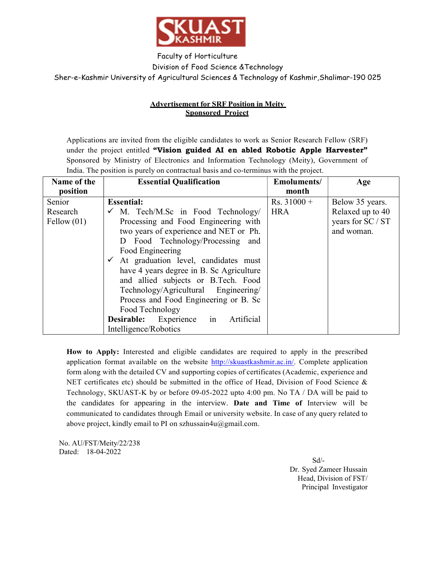

Faculty of Horticulture

Division of Food Science &Technology

Sher-e-Kashmir University of Agricultural Sciences & Technology of Kashmir, Shalimar-190 025

## Advertisement for SRF Position in Meity Sponsored Project

Applications are invited from the eligible candidates to work as Senior Research Fellow (SRF) under the project entitled "Vision guided AI en abled Robotic Apple Harvester" Sponsored by Ministry of Electronics and Information Technology (Meity), Government of India. The position is purely on contractual basis and co-terminus with the project.

| Name of the         | <b>Essential Qualification</b>                       | <b>Emoluments/</b> | Age               |
|---------------------|------------------------------------------------------|--------------------|-------------------|
| position            |                                                      | month              |                   |
| Senior              | <b>Essential:</b>                                    | $Rs. 31000 +$      | Below 35 years.   |
| Research            | $\checkmark$ M. Tech/M.Sc in Food Technology/        | <b>HRA</b>         | Relaxed up to 40  |
| $\text{Fellow}(01)$ | Processing and Food Engineering with                 |                    | years for SC / ST |
|                     | two years of experience and NET or Ph.               |                    | and woman.        |
|                     | Food Technology/Processing and<br>D                  |                    |                   |
|                     | Food Engineering                                     |                    |                   |
|                     | At graduation level, candidates must<br>$\checkmark$ |                    |                   |
|                     | have 4 years degree in B. Sc Agriculture             |                    |                   |
|                     | and allied subjects or B.Tech. Food                  |                    |                   |
|                     | Technology/Agricultural Engineering/                 |                    |                   |
|                     | Process and Food Engineering or B. Sc                |                    |                   |
|                     | Food Technology                                      |                    |                   |
|                     | <b>Desirable:</b> Experience in<br>Artificial        |                    |                   |
|                     | Intelligence/Robotics                                |                    |                   |

How to Apply: Interested and eligible candidates are required to apply in the prescribed application format available on the website http://skuastkashmir.ac.in/. Complete application form along with the detailed CV and supporting copies of certificates (Academic, experience and NET certificates etc) should be submitted in the office of Head, Division of Food Science & Technology, SKUAST-K by or before 09-05-2022 upto 4:00 pm. No TA / DA will be paid to the candidates for appearing in the interview. Date and Time of Interview will be communicated to candidates through Email or university website. In case of any query related to above project, kindly email to PI on szhussain4u@gmail.com.

No. AU/FST/Meity/22/238 Dated: 18-04-2022

 Sd/- Dr. Syed Zameer Hussain Head, Division of FST/ Principal Investigator